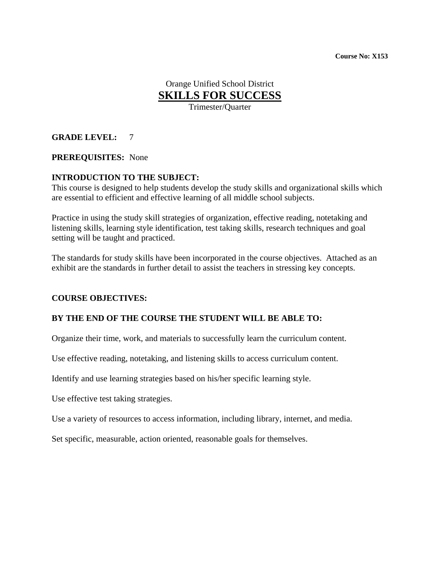**Course No: X153** 

Orange Unified School District **SKILLS FOR SUCCESS**

Trimester/Quarter

**GRADE LEVEL:** 7

**PREREQUISITES:** None

#### **INTRODUCTION TO THE SUBJECT:**

This course is designed to help students develop the study skills and organizational skills which are essential to efficient and effective learning of all middle school subjects.

Practice in using the study skill strategies of organization, effective reading, notetaking and listening skills, learning style identification, test taking skills, research techniques and goal setting will be taught and practiced.

The standards for study skills have been incorporated in the course objectives. Attached as an exhibit are the standards in further detail to assist the teachers in stressing key concepts.

#### **COURSE OBJECTIVES:**

#### **BY THE END OF THE COURSE THE STUDENT WILL BE ABLE TO:**

Organize their time, work, and materials to successfully learn the curriculum content.

Use effective reading, notetaking, and listening skills to access curriculum content.

Identify and use learning strategies based on his/her specific learning style.

Use effective test taking strategies.

Use a variety of resources to access information, including library, internet, and media.

Set specific, measurable, action oriented, reasonable goals for themselves.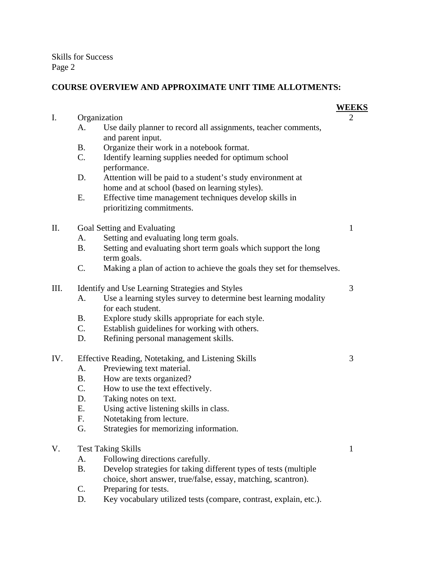Skills for Success Page 2

# **COURSE OVERVIEW AND APPROXIMATE UNIT TIME ALLOTMENTS:**

|     |                                                     |                                                                                                                                   | <b>WEEKS</b> |
|-----|-----------------------------------------------------|-----------------------------------------------------------------------------------------------------------------------------------|--------------|
| I.  | Organization                                        |                                                                                                                                   | 2            |
|     | A.                                                  | Use daily planner to record all assignments, teacher comments,<br>and parent input.                                               |              |
|     | <b>B.</b>                                           | Organize their work in a notebook format.                                                                                         |              |
|     | C.                                                  | Identify learning supplies needed for optimum school<br>performance.                                                              |              |
|     | D.                                                  | Attention will be paid to a student's study environment at<br>home and at school (based on learning styles).                      |              |
|     | Ε.                                                  | Effective time management techniques develop skills in<br>prioritizing commitments.                                               |              |
| II. | Goal Setting and Evaluating                         |                                                                                                                                   | 1            |
|     | А.                                                  | Setting and evaluating long term goals.                                                                                           |              |
|     | <b>B.</b>                                           | Setting and evaluating short term goals which support the long<br>term goals.                                                     |              |
|     | C.                                                  | Making a plan of action to achieve the goals they set for themselves.                                                             |              |
| Ш.  | Identify and Use Learning Strategies and Styles     |                                                                                                                                   | 3            |
|     | A.                                                  | Use a learning styles survey to determine best learning modality<br>for each student.                                             |              |
|     | <b>B.</b>                                           | Explore study skills appropriate for each style.                                                                                  |              |
|     | $C_{\cdot}$                                         | Establish guidelines for working with others.                                                                                     |              |
|     | D.                                                  | Refining personal management skills.                                                                                              |              |
| IV. | Effective Reading, Notetaking, and Listening Skills |                                                                                                                                   | 3            |
|     | A.                                                  | Previewing text material.                                                                                                         |              |
|     | <b>B.</b>                                           | How are texts organized?                                                                                                          |              |
|     | $C_{\cdot}$                                         | How to use the text effectively.                                                                                                  |              |
|     | D.                                                  | Taking notes on text.                                                                                                             |              |
|     | Ε.                                                  | Using active listening skills in class.                                                                                           |              |
|     | F.<br>G.                                            | Notetaking from lecture.<br>Strategies for memorizing information.                                                                |              |
|     |                                                     |                                                                                                                                   |              |
| V.  | <b>Test Taking Skills</b>                           |                                                                                                                                   | $\mathbf{1}$ |
|     | A.                                                  | Following directions carefully.                                                                                                   |              |
|     | <b>B.</b>                                           | Develop strategies for taking different types of tests (multiple<br>choice, short answer, true/false, essay, matching, scantron). |              |
|     | $\mathsf{C}$ .                                      | Preparing for tests.                                                                                                              |              |
|     |                                                     |                                                                                                                                   |              |

D. Key vocabulary utilized tests (compare, contrast, explain, etc.).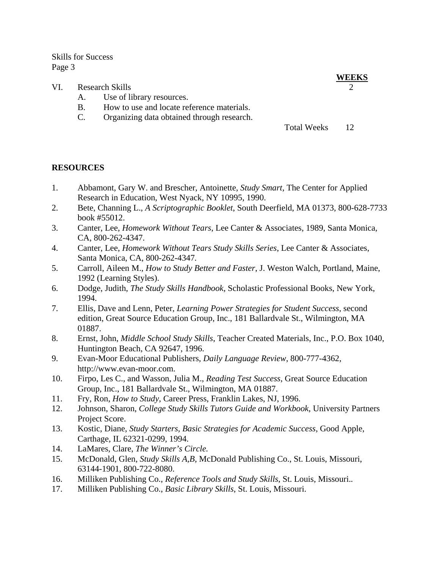Skills for Success Page 3

- VI. Research Skills
	- A. Use of library resources.
	- B. How to use and locate reference materials.
	- C. Organizing data obtained through research.

Total Weeks 12

#### **RESOURCES**

- 1. Abbamont, Gary W. and Brescher, Antoinette, *Study Smart*, The Center for Applied Research in Education, West Nyack, NY 10995, 1990.
- 2. Bete, Channing L., *A Scriptographic Booklet*, South Deerfield, MA 01373, 800-628-7733 book #55012.
- 3. Canter, Lee, *Homework Without Tears*, Lee Canter & Associates, 1989, Santa Monica, CA, 800-262-4347.
- 4. Canter, Lee, *Homework Without Tears Study Skills Series*, Lee Canter & Associates, Santa Monica, CA, 800-262-4347*.*
- 5. Carroll, Aileen M., *How to Study Better and Faster*, J. Weston Walch, Portland, Maine, 1992 (Learning Styles).
- 6. Dodge, Judith, *The Study Skills Handbook*, Scholastic Professional Books, New York, 1994.
- 7. Ellis, Dave and Lenn, Peter, *Learning Power Strategies for Student Success*, second edition, Great Source Education Group, Inc., 181 Ballardvale St., Wilmington, MA 01887.
- 8. Ernst, John, *Middle School Study Skills*, Teacher Created Materials, Inc., P.O. Box 1040, Huntington Beach, CA 92647, 1996.
- 9. Evan-Moor Educational Publishers, *Daily Language Review*, 800-777-4362, http://www.evan-moor.com.
- 10. Firpo, Les C., and Wasson, Julia M., *Reading Test Success*, Great Source Education Group, Inc., 181 Ballardvale St., Wilmington, MA 01887.
- 11. Fry, Ron, *How to Study*, Career Press, Franklin Lakes, NJ, 1996.
- 12. Johnson, Sharon, *College Study Skills Tutors Guide and Workbook*, University Partners Project Score.
- 13. Kostic, Diane, *Study Starters, Basic Strategies for Academic Success*, Good Apple, Carthage, IL 62321-0299, 1994.
- 14. LaMares, Clare, *The Winner's Circle.*
- 15. McDonald, Glen, *Study Skills A,B*, McDonald Publishing Co., St. Louis, Missouri, 63144-1901, 800-722-8080.
- 16. Milliken Publishing Co., *Reference Tools and Study Skills*, St. Louis, Missouri.*.*
- 17. Milliken Publishing Co., *Basic Library Skills*, St. Louis, Missouri.

**WEEKS**